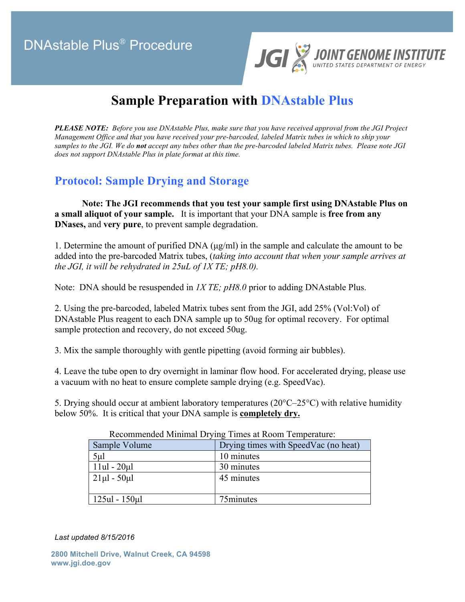## DNAstable Plus® Procedure



# **Sample Preparation with DNAstable Plus**

*PLEASE NOTE: Before you use DNAstable Plus, make sure that you have received approval from the JGI Project Management Office and that you have received your pre-barcoded, labeled Matrix tubes in which to ship your samples to the JGI. We do not accept any tubes other than the pre-barcoded labeled Matrix tubes. Please note JGI does not support DNAstable Plus in plate format at this time.*

#### **Protocol: Sample Drying and Storage**

**Note: The JGI recommends that you test your sample first using DNAstable Plus on a small aliquot of your sample.** It is important that your DNA sample is **free from any DNases,** and **very pure**, to prevent sample degradation.

1. Determine the amount of purified DNA (µg/ml) in the sample and calculate the amount to be added into the pre-barcoded Matrix tubes, (*taking into account that when your sample arrives at the JGI, it will be rehydrated in 25uL of 1X TE; pH8.0).*

Note: DNA should be resuspended in *1X TE; pH8.0* prior to adding DNAstable Plus.

2. Using the pre-barcoded, labeled Matrix tubes sent from the JGI, add 25% (Vol:Vol) of DNAstable Plus reagent to each DNA sample up to 50ug for optimal recovery. For optimal sample protection and recovery, do not exceed 50ug.

3. Mix the sample thoroughly with gentle pipetting (avoid forming air bubbles).

4. Leave the tube open to dry overnight in laminar flow hood. For accelerated drying, please use a vacuum with no heat to ensure complete sample drying (e.g. SpeedVac).

5. Drying should occur at ambient laboratory temperatures ( $20^{\circ}C-25^{\circ}C$ ) with relative humidity below 50%. It is critical that your DNA sample is **completely dry.**

| Recommended Minimial Drying Thirds at Room Temperature. |                                      |
|---------------------------------------------------------|--------------------------------------|
| Sample Volume                                           | Drying times with SpeedVac (no heat) |
| 5 <sub>µ</sub>                                          | 10 minutes                           |
| $11ul - 20ul$                                           | 30 minutes                           |
| $21\mu$ l - 50 $\mu$ l                                  | 45 minutes                           |
|                                                         |                                      |
| $125ul - 150ul$                                         | 75minutes                            |

Recommended Minimal Drying Times at Room Temperature:

*Last updated 8/15/2016*